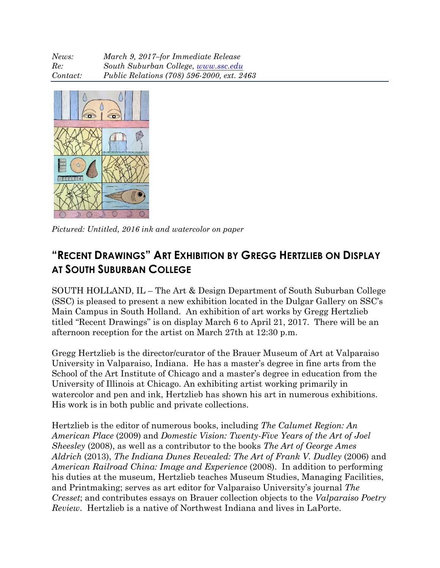| News:    | March 9, 2017-for Immediate Release        |
|----------|--------------------------------------------|
| Re:      | South Suburban College, www.ssc.edu        |
| Contact: | Public Relations (708) 596-2000, ext. 2463 |



*Pictured: Untitled, 2016 ink and watercolor on paper*

## **"RECENT DRAWINGS" ART EXHIBITION BY GREGG HERTZLIEB ON DISPLAY AT SOUTH SUBURBAN COLLEGE**

SOUTH HOLLAND, IL – The Art & Design Department of South Suburban College (SSC) is pleased to present a new exhibition located in the Dulgar Gallery on SSC's Main Campus in South Holland. An exhibition of art works by Gregg Hertzlieb titled "Recent Drawings" is on display March 6 to April 21, 2017. There will be an afternoon reception for the artist on March 27th at 12:30 p.m.

Gregg Hertzlieb is the director/curator of the Brauer Museum of Art at Valparaiso University in Valparaiso, Indiana. He has a master's degree in fine arts from the School of the Art Institute of Chicago and a master's degree in education from the University of Illinois at Chicago. An exhibiting artist working primarily in watercolor and pen and ink, Hertzlieb has shown his art in numerous exhibitions. His work is in both public and private collections.

Hertzlieb is the editor of numerous books, including *The Calumet Region: An American Place* (2009) and *Domestic Vision: Twenty-Five Years of the Art of Joel Sheesley* (2008), as well as a contributor to the books *The Art of George Ames Aldrich* (2013), *The Indiana Dunes Revealed: The Art of Frank V. Dudley* (2006) and *American Railroad China: Image and Experience* (2008). In addition to performing his duties at the museum, Hertzlieb teaches Museum Studies, Managing Facilities, and Printmaking; serves as art editor for Valparaiso University's journal *The Cresset*; and contributes essays on Brauer collection objects to the *Valparaiso Poetry Review*. Hertzlieb is a native of Northwest Indiana and lives in LaPorte.